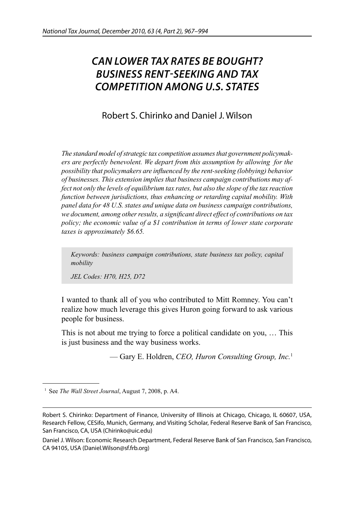## *CAN LOWER TAX RATES BE BOUGHT? BUSINESS RENT-SEEKING AND TAX COMPETITION AMONG U.S. STATES*

## Robert S. Chirinko and Daniel J. Wilson

*The standard model of strategic tax competition assumes that government policymakers are perfectly benevolent. We depart from this assumption by allowing for the possibility that policymakers are influenced by the rent-seeking (lobbying) behavior of businesses. This extension implies that business campaign contributions may affect not only the levels of equilibrium tax rates, but also the slope of the tax reaction function between jurisdictions, thus enhancing or retarding capital mobility. With panel data for 48 U.S. states and unique data on business campaign contributions,*  we document, among other results, a significant direct effect of contributions on tax *policy; the economic value of a \$1 contribution in terms of lower state corporate taxes is approximately \$6.65.*

*Keywords: business campaign contributions, state business tax policy, capital mobility*

*JEL Codes: H70, H25, D72*

I wanted to thank all of you who contributed to Mitt Romney. You can't realize how much leverage this gives Huron going forward to ask various people for business.

This is not about me trying to force a political candidate on you, … This is just business and the way business works.

— Gary E. Holdren, *CEO, Huron Consulting Group, Inc.*<sup>1</sup>

 <sup>1</sup> See *The Wall Street Journal*, August 7, 2008, p. A4.

Robert S. Chirinko: Department of Finance, University of Illinois at Chicago, Chicago, IL 60607, USA, Research Fellow, CESifo, Munich, Germany, and Visiting Scholar, Federal Reserve Bank of San Francisco, San Francisco, CA, USA (Chirinko@uic.edu)

Daniel J. Wilson: Economic Research Department, Federal Reserve Bank of San Francisco, San Francisco, CA 94105, USA (Daniel.Wilson@sf.frb.org)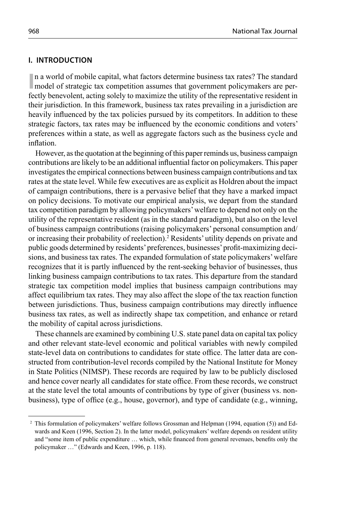## **I. INTRODUCTION**

In a world of mobile capital, what factors determine business tax rates? The standard model of strategic tax competition assumes that government policymakers are pern a world of mobile capital, what factors determine business tax rates? The standard fectly benevolent, acting solely to maximize the utility of the representative resident in their jurisdiction. In this framework, business tax rates prevailing in a jurisdiction are heavily influenced by the tax policies pursued by its competitors. In addition to these strategic factors, tax rates may be influenced by the economic conditions and voters' preferences within a state, as well as aggregate factors such as the business cycle and inflation.

However, as the quotation at the beginning of this paper reminds us, business campaign contributions are likely to be an additional influential factor on policymakers. This paper investigates the empirical connections between business campaign contributions and tax rates at the state level. While few executives are as explicit as Holdren about the impact of campaign contributions, there is a pervasive belief that they have a marked impact on policy decisions. To motivate our empirical analysis, we depart from the standard tax competition paradigm by allowing policymakers' welfare to depend not only on the utility of the representative resident (as in the standard paradigm), but also on the level of business campaign contributions (raising policymakers' personal consumption and/ or increasing their probability of reelection).<sup>2</sup> Residents' utility depends on private and public goods determined by residents' preferences, businesses' profit-maximizing decisions, and business tax rates. The expanded formulation of state policymakers' welfare recognizes that it is partly influenced by the rent-seeking behavior of businesses, thus linking business campaign contributions to tax rates. This departure from the standard strategic tax competition model implies that business campaign contributions may affect equilibrium tax rates. They may also affect the slope of the tax reaction function between jurisdictions. Thus, business campaign contributions may directly influence business tax rates, as well as indirectly shape tax competition, and enhance or retard the mobility of capital across jurisdictions.

These channels are examined by combining U.S. state panel data on capital tax policy and other relevant state-level economic and political variables with newly compiled state-level data on contributions to candidates for state office. The latter data are constructed from contribution-level records compiled by the National Institute for Money in State Politics (NIMSP). These records are required by law to be publicly disclosed and hence cover nearly all candidates for state office. From these records, we construct at the state level the total amounts of contributions by type of giver (business vs. nonbusiness), type of office (e.g., house, governor), and type of candidate (e.g., winning,

 <sup>2</sup> This formulation of policymakers' welfare follows Grossman and Helpman (1994, equation (5)) and Edwards and Keen (1996, Section 2). In the latter model, policymakers' welfare depends on resident utility and "some item of public expenditure ... which, while financed from general revenues, benefits only the policymaker …" (Edwards and Keen, 1996, p. 118).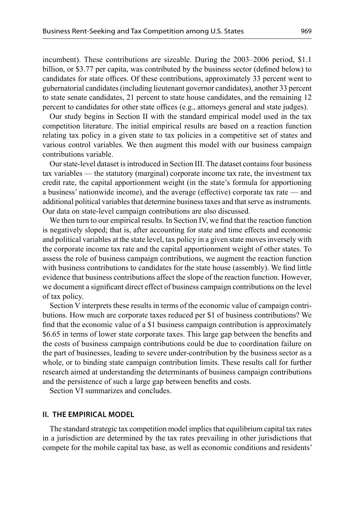incumbent). These contributions are sizeable. During the 2003–2006 period, \$1.1 billion, or \$3.77 per capita, was contributed by the business sector (defined below) to candidates for state offices. Of these contributions, approximately 33 percent went to gubernatorial candidates (including lieutenant governor candidates), another 33 percent to state senate candidates, 21 percent to state house candidates, and the remaining 12 percent to candidates for other state offices (e.g., attorneys general and state judges).

Our study begins in Section II with the standard empirical model used in the tax competition literature. The initial empirical results are based on a reaction function relating tax policy in a given state to tax policies in a competitive set of states and various control variables. We then augment this model with our business campaign contributions variable.

Our state-level dataset is introduced in Section III. The dataset contains four business tax variables — the statutory (marginal) corporate income tax rate, the investment tax credit rate, the capital apportionment weight (in the state's formula for apportioning a business' nationwide income), and the average (effective) corporate tax rate — and additional political variables that determine business taxes and that serve as instruments. Our data on state-level campaign contributions are also discussed.

We then turn to our empirical results. In Section IV, we find that the reaction function is negatively sloped; that is, after accounting for state and time effects and economic and political variables at the state level, tax policy in a given state moves inversely with the corporate income tax rate and the capital apportionment weight of other states. To assess the role of business campaign contributions, we augment the reaction function with business contributions to candidates for the state house (assembly). We find little evidence that business contributions affect the slope of the reaction function. However, we document a significant direct effect of business campaign contributions on the level of tax policy.

Section V interprets these results in terms of the economic value of campaign contributions. How much are corporate taxes reduced per \$1 of business contributions? We find that the economic value of a \$1 business campaign contribution is approximately \$6.65 in terms of lower state corporate taxes. This large gap between the benefits and the costs of business campaign contributions could be due to coordination failure on the part of businesses, leading to severe under-contribution by the business sector as a whole, or to binding state campaign contribution limits. These results call for further research aimed at understanding the determinants of business campaign contributions and the persistence of such a large gap between benefits and costs.

Section VI summarizes and concludes.

## **II. THE EMPIRICAL MODEL**

The standard strategic tax competition model implies that equilibrium capital tax rates in a jurisdiction are determined by the tax rates prevailing in other jurisdictions that compete for the mobile capital tax base, as well as economic conditions and residents'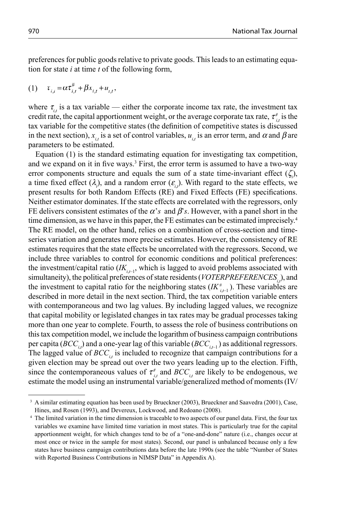preferences for public goods relative to private goods. This leads to an estimating equation for state *i* at time *t* of the following form,

$$
(1) \t\t \tau_{i,t} = \alpha \tau_{i,t}^{\#} + \beta x_{i,t} + u_{i,t},
$$

where  $\tau_{i,t}$  is a tax variable — either the corporate income tax rate, the investment tax credit rate, the capital apportionment weight, or the average corporate tax rate,  $\tau^*_{i,t}$  is the tax variable for the competitive states (the definition of competitive states is discussed in the next section),  $x_{i,t}$  is a set of control variables,  $u_{i,t}$  is an error term, and  $\alpha$  and  $\beta$  are parameters to be estimated.

Equation (1) is the standard estimating equation for investigating tax competition, and we expand on it in five ways.<sup>3</sup> First, the error term is assumed to have a two-way error components structure and equals the sum of a state time-invariant effect  $(\zeta_i)$ , a time fixed effect  $(\lambda_i)$ , and a random error  $(\varepsilon_{i,i})$ . With regard to the state effects, we present results for both Random Effects (RE) and Fixed Effects (FE) specifications. Neither estimator dominates. If the state effects are correlated with the regressors, only FE delivers consistent estimates of the  $\alpha$ 's and  $\beta$ 's. However, with a panel short in the time dimension, as we have in this paper, the FE estimates can be estimated imprecisely.<sup>4</sup> The RE model, on the other hand, relies on a combination of cross-section and timeseries variation and generates more precise estimates. However, the consistency of RE estimates requires that the state effects be uncorrelated with the regressors. Second, we include three variables to control for economic conditions and political preferences: the investment/capital ratio  $(K_{i,t-1}, \text{ which is lagged to avoid problems associated with } t$ simultaneity), the political preferences of state residents (*VOTERPREFERENCES*<sub>*i*,</sub>), and the investment to capital ratio for the neighboring states  $(IK^*_{i,t-1})$ . These variables are described in more detail in the next section. Third, the tax competition variable enters with contemporaneous and two lag values. By including lagged values, we recognize that capital mobility or legislated changes in tax rates may be gradual processes taking more than one year to complete. Fourth, to assess the role of business contributions on this tax competition model, we include the logarithm of business campaign contributions per capita (*BCC<sub>i,</sub>*) and a one-year lag of this variable (*BCC<sub>i,t-1</sub>*) as additional regressors. The lagged value of  $BCC_{i,t}$  is included to recognize that campaign contributions for a given election may be spread out over the two years leading up to the election. Fifth, since the contemporaneous values of  $\tau^*_{i,t}$  and  $BCC_{i,t}$  are likely to be endogenous, we estimate the model using an instrumental variable/generalized method of moments (IV/

<sup>&</sup>lt;sup>3</sup> A similar estimating equation has been used by Brueckner (2003), Brueckner and Saavedra (2001), Case,

Hines, and Rosen (1993), and Devereux, Lockwood, and Redoano (2008). 4 The limited variation in the time dimension is traceable to two aspects of our panel data. First, the four tax variables we examine have limited time variation in most states. This is particularly true for the capital apportionment weight, for which changes tend to be of a "one-and-done" nature (i.e., changes occur at most once or twice in the sample for most states). Second, our panel is unbalanced because only a few states have business campaign contributions data before the late 1990s (see the table "Number of States with Reported Business Contributions in NIMSP Data" in Appendix A).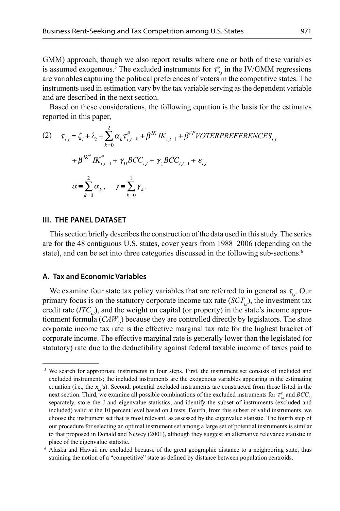GMM) approach, though we also report results where one or both of these variables is assumed exogenous.<sup>5</sup> The excluded instruments for  $\tau_{i,t}^*$  in the IV/GMM regressions are variables capturing the political preferences of voters in the competitive states. The instruments used in estimation vary by the tax variable serving as the dependent variable and are described in the next section.

Based on these considerations, the following equation is the basis for the estimates reported in this paper,

(2) 
$$
\tau_{i,t} = \zeta_i + \lambda_t + \sum_{k=0}^2 \alpha_k \tau_{i,t-k}^{\#} + \beta^{lK} K_{i,t-1} + \beta^{VPI} VOTERPREFERENCES_{i,t}
$$

$$
+ \beta^{lK^*} K_{i,t-1}^{\#} + \gamma_0 BCC_{i,t} + \gamma_1 BCC_{i,t-1} + \varepsilon_{i,t}
$$

$$
\alpha \equiv \sum_{k=0}^2 \alpha_k, \quad \gamma \equiv \sum_{k=0}^1 \gamma_k.
$$

## **III. THE PANEL DATASET**

This section briefly describes the construction of the data used in this study. The series are for the 48 contiguous U.S. states, cover years from 1988–2006 (depending on the state), and can be set into three categories discussed in the following sub-sections.<sup>6</sup>

## **A. Tax and Economic Variables**

We examine four state tax policy variables that are referred to in general as <sup>τ</sup>*i*,*<sup>t</sup>* . Our primary focus is on the statutory corporate income tax rate  $(SCT_{i,t})$ , the investment tax credit rate  $(ITC_{i,t})$ , and the weight on capital (or property) in the state's income apportionment formula (*CAW<sub>i,i</sub>*) because they are controlled directly by legislators. The state corporate income tax rate is the effective marginal tax rate for the highest bracket of corporate income. The effective marginal rate is generally lower than the legislated (or statutory) rate due to the deductibility against federal taxable income of taxes paid to

<sup>&</sup>lt;sup>5</sup> We search for appropriate instruments in four steps. First, the instrument set consists of included and excluded instruments; the included instruments are the exogenous variables appearing in the estimating equation (i.e., the  $x_{i,t}$ 's). Second, potential excluded instruments are constructed from those listed in the next section. Third, we examine all possible combinations of the excluded instruments for  $\tau^*_{i,t}$  and  $BCC_{i,t}$ separately, store the J and eigenvalue statistics, and identify the subset of instruments (excluded and included) valid at the 10 percent level based on J tests. Fourth, from this subset of valid instruments, we choose the instrument set that is most relevant, as assessed by the eigenvalue statistic. The fourth step of our procedure for selecting an optimal instrument set among a large set of potential instruments is similar to that proposed in Donald and Newey (2001), although they suggest an alternative relevance statistic in

place of the eigenvalue statistic.<br><sup>6</sup> Alaska and Hawaii are excluded because of the great geographic distance to a neighboring state, thus straining the notion of a "competitive" state as defined by distance between population centroids.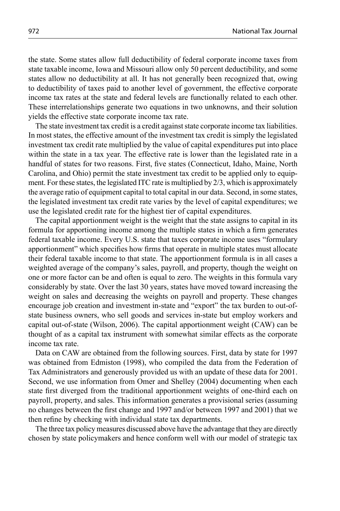the state. Some states allow full deductibility of federal corporate income taxes from state taxable income, Iowa and Missouri allow only 50 percent deductibility, and some states allow no deductibility at all. It has not generally been recognized that, owing to deductibility of taxes paid to another level of government, the effective corporate income tax rates at the state and federal levels are functionally related to each other. These interrelationships generate two equations in two unknowns, and their solution yields the effective state corporate income tax rate.

The state investment tax credit is a credit against state corporate income tax liabilities. In most states, the effective amount of the investment tax credit is simply the legislated investment tax credit rate multiplied by the value of capital expenditures put into place within the state in a tax year. The effective rate is lower than the legislated rate in a handful of states for two reasons. First, five states (Connecticut, Idaho, Maine, North Carolina, and Ohio) permit the state investment tax credit to be applied only to equipment. For these states, the legislated ITC rate is multiplied by 2/3, which is approximately the average ratio of equipment capital to total capital in our data. Second, in some states, the legislated investment tax credit rate varies by the level of capital expenditures; we use the legislated credit rate for the highest tier of capital expenditures.

The capital apportionment weight is the weight that the state assigns to capital in its formula for apportioning income among the multiple states in which a firm generates federal taxable income. Every U.S. state that taxes corporate income uses "formulary apportionment" which specifies how firms that operate in multiple states must allocate their federal taxable income to that state. The apportionment formula is in all cases a weighted average of the company's sales, payroll, and property, though the weight on one or more factor can be and often is equal to zero. The weights in this formula vary considerably by state. Over the last 30 years, states have moved toward increasing the weight on sales and decreasing the weights on payroll and property. These changes encourage job creation and investment in-state and "export" the tax burden to out-ofstate business owners, who sell goods and services in-state but employ workers and capital out-of-state (Wilson, 2006). The capital apportionment weight (CAW) can be thought of as a capital tax instrument with somewhat similar effects as the corporate income tax rate.

Data on CAW are obtained from the following sources. First, data by state for 1997 was obtained from Edmiston (1998), who compiled the data from the Federation of Tax Administrators and generously provided us with an update of these data for 2001. Second, we use information from Omer and Shelley (2004) documenting when each state first diverged from the traditional apportionment weights of one-third each on payroll, property, and sales. This information generates a provisional series (assuming no changes between the first change and 1997 and/or between 1997 and 2001) that we then refine by checking with individual state tax departments.

The three tax policy measures discussed above have the advantage that they are directly chosen by state policymakers and hence conform well with our model of strategic tax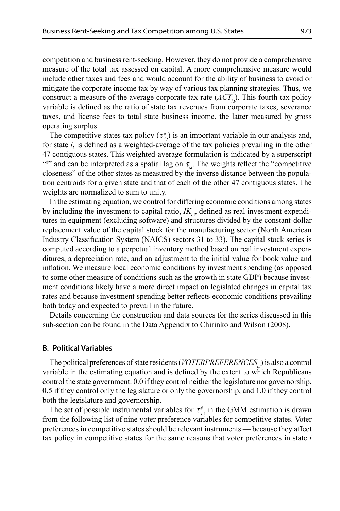competition and business rent-seeking. However, they do not provide a comprehensive measure of the total tax assessed on capital. A more comprehensive measure would include other taxes and fees and would account for the ability of business to avoid or mitigate the corporate income tax by way of various tax planning strategies. Thus, we construct a measure of the average corporate tax rate  $(ACT_{i,t})$ . This fourth tax policy variable is defined as the ratio of state tax revenues from corporate taxes, severance taxes, and license fees to total state business income, the latter measured by gross operating surplus.

The competitive states tax policy ( $\tau_{i,t}^*$ ) is an important variable in our analysis and, for state *i*, is defined as a weighted-average of the tax policies prevailing in the other 47 contiguous states. This weighted-average formulation is indicated by a superscript <sup>*(4)*</sup>) and can be interpreted as a spatial lag on  $\tau_{i,t}$ . The weights reflect the "competitive" closeness" of the other states as measured by the inverse distance between the population centroids for a given state and that of each of the other 47 contiguous states. The weights are normalized to sum to unity.

In the estimating equation, we control for differing economic conditions among states by including the investment to capital ratio,  $IK_{i,j}$ , defined as real investment expenditures in equipment (excluding software) and structures divided by the constant-dollar replacement value of the capital stock for the manufacturing sector (North American Industry Classification System (NAICS) sectors 31 to 33). The capital stock series is computed according to a perpetual inventory method based on real investment expenditures, a depreciation rate, and an adjustment to the initial value for book value and inflation. We measure local economic conditions by investment spending (as opposed to some other measure of conditions such as the growth in state GDP) because investment conditions likely have a more direct impact on legislated changes in capital tax rates and because investment spending better reflects economic conditions prevailing both today and expected to prevail in the future.

Details concerning the construction and data sources for the series discussed in this sub-section can be found in the Data Appendix to Chirinko and Wilson (2008).

## **B. Political Variables**

The political preferences of state residents (*VOTERPREFERENCESi*,*<sup>t</sup>* ) is also a control variable in the estimating equation and is defined by the extent to which Republicans control the state government: 0.0 if they control neither the legislature nor governorship, 0.5 if they control only the legislature or only the governorship, and 1.0 if they control both the legislature and governorship.

The set of possible instrumental variables for  $\tau_{i,t}^*$  in the GMM estimation is drawn from the following list of nine voter preference variables for competitive states. Voter preferences in competitive states should be relevant instruments — because they affect tax policy in competitive states for the same reasons that voter preferences in state *i*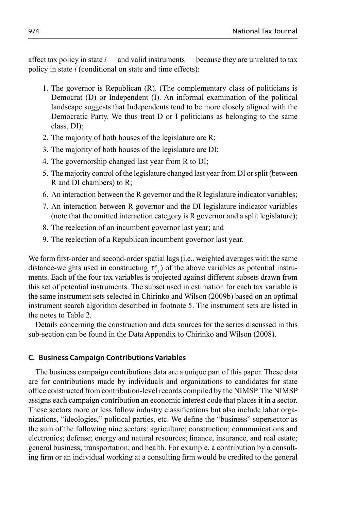affect tax policy in state *i* — and valid instruments — because they are unrelated to tax policy in state *i* (conditional on state and time effects):

- 1. The governor is Republican (R). (The complementary class of politicians is Democrat (D) or Independent (I). An informal examination of the political landscape suggests that Independents tend to be more closely aligned with the Democratic Party. We thus treat D or I politicians as belonging to the same class, DI);
- 2. The majority of both houses of the legislature are R;
- 3. The majority of both houses of the legislature are DI;
- 4. The governorship changed last year from R to DI;
- 5. The majority control of the legislature changed last year from DI or split (between R and DI chambers) to R;
- 6. An interaction between the R governor and the R legislature indicator variables;
- 7. An interaction between R governor and the DI legislature indicator variables (note that the omitted interaction category is R governor and a split legislature);
- 8. The reelection of an incumbent governor last year; and
- 9. The reelection of a Republican incumbent governor last year.

We form first-order and second-order spatial lags (i.e., weighted averages with the same distance-weights used in constructing  $\tau_{i,t}^*$ ) of the above variables as potential instruments. Each of the four tax variables is projected against different subsets drawn from this set of potential instruments. The subset used in estimation for each tax variable is the same instrument sets selected in Chirinko and Wilson (2009b) based on an optimal instrument search algorithm described in footnote 5. The instrument sets are listed in the notes to Table 2.

Details concerning the construction and data sources for the series discussed in this sub-section can be found in the Data Appendix to Chirinko and Wilson (2008).

## **C. Business Campaign Contributions Variables**

The business campaign contributions data are a unique part of this paper. These data are for contributions made by individuals and organizations to candidates for state office constructed from contribution-level records compiled by the NIMSP. The NIMSP assigns each campaign contribution an economic interest code that places it in a sector. These sectors more or less follow industry classifications but also include labor organizations, "ideologies," political parties, etc. We define the "business" supersector as the sum of the following nine sectors: agriculture; construction; communications and electronics; defense; energy and natural resources; finance, insurance, and real estate; general business; transportation; and health. For example, a contribution by a consulting firm or an individual working at a consulting firm would be credited to the general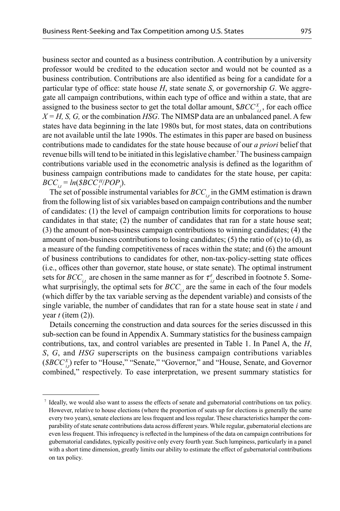business sector and counted as a business contribution. A contribution by a university professor would be credited to the education sector and would not be counted as a business contribution. Contributions are also identified as being for a candidate for a particular type of office: state house  $H$ , state senate  $S$ , or governorship  $G$ . We aggregate all campaign contributions, within each type of office and within a state, that are assigned to the business sector to get the total dollar amount,  $$BCC^X_{i,t}$$ , for each office  $X = H$ , *S*, *G*, or the combination *HSG*. The NIMSP data are an unbalanced panel. A few states have data beginning in the late 1980s but, for most states, data on contributions are not available until the late 1990s. The estimates in this paper are based on business contributions made to candidates for the state house because of our *a priori* belief that revenue bills will tend to be initiated in this legislative chamber.7 The business campaign contributions variable used in the econometric analysis is defined as the logarithm of business campaign contributions made to candidates for the state house, per capita:  $BCC_{i,t} = ln(SBCC_{i}^{H}/POP_{i}).$ 

The set of possible instrumental variables for  $BCC_{i,t}$  in the GMM estimation is drawn from the following list of six variables based on campaign contributions and the number of candidates: (1) the level of campaign contribution limits for corporations to house candidates in that state; (2) the number of candidates that ran for a state house seat; (3) the amount of non-business campaign contributions to winning candidates; (4) the amount of non-business contributions to losing candidates; (5) the ratio of (c) to (d), as a measure of the funding competitiveness of races within the state; and (6) the amount of business contributions to candidates for other, non-tax-policy-setting state offices (i.e., offices other than governor, state house, or state senate). The optimal instrument sets for  $BCC_{i,t}$  are chosen in the same manner as for  $\tau^*_{i,t}$  described in footnote 5. Somewhat surprisingly, the optimal sets for  $BCC_{i,t}$  are the same in each of the four models (which differ by the tax variable serving as the dependent variable) and consists of the single variable, the number of candidates that ran for a state house seat in state *i* and year *t* (item (2)).

Details concerning the construction and data sources for the series discussed in this sub-section can be found in Appendix A. Summary statistics for the business campaign contributions, tax, and control variables are presented in Table 1. In Panel A, the *H*, *S*, *G*, and *HSG* superscripts on the business campaign contributions variables (*\$BCCX i*,*t* ) refer to "House," "Senate," "Governor," and "House, Senate, and Governor combined," respectively. To ease interpretation, we present summary statistics for

 <sup>7</sup> Ideally, we would also want to assess the effects of senate and gubernatorial contributions on tax policy. However, relative to house elections (where the proportion of seats up for elections is generally the same every two years), senate elections are less frequent and less regular. These characteristics hamper the comparability of state senate contributions data across different years. While regular, gubernatorial elections are even less frequent. This infrequency is reflected in the lumpiness of the data on campaign contributions for gubernatorial candidates, typically positive only every fourth year. Such lumpiness, particularly in a panel with a short time dimension, greatly limits our ability to estimate the effect of gubernatorial contributions on tax policy.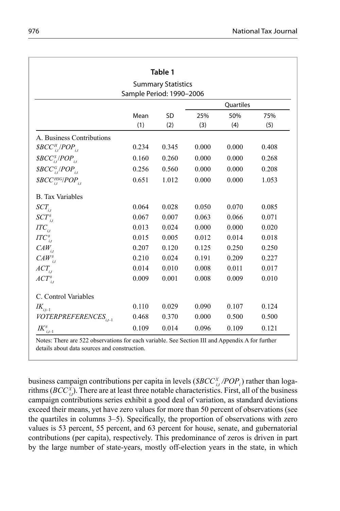|                                  |                          | Table 1                   |       |           |       |
|----------------------------------|--------------------------|---------------------------|-------|-----------|-------|
|                                  |                          | <b>Summary Statistics</b> |       |           |       |
|                                  | Sample Period: 1990-2006 |                           |       |           |       |
|                                  |                          |                           |       | Quartiles |       |
|                                  | Mean                     | <b>SD</b>                 | 25%   | 50%       | 75%   |
|                                  | (1)                      | (2)                       | (3)   | (4)       | (5)   |
| A. Business Contributions        |                          |                           |       |           |       |
| $$BCC^H_{i,t}/POP_{i,t}$         | 0.234                    | 0.345                     | 0.000 | 0.000     | 0.408 |
| $$BCC^S_{i,t}/POP_{i,t}$         | 0.160                    | 0.260                     | 0.000 | 0.000     | 0.268 |
| $$BCC^G_{it}/POP_{it}$           | 0.256                    | 0.560                     | 0.000 | 0.000     | 0.208 |
| $$BCC_{i,t}^{HSG}/POP_{i,t}$     | 0.651                    | 1.012                     | 0.000 | 0.000     | 1.053 |
| <b>B.</b> Tax Variables          |                          |                           |       |           |       |
| $SCT_{i,t}$                      | 0.064                    | 0.028                     | 0.050 | 0.070     | 0.085 |
| $SCT^{\#}_{i,t}$                 | 0.067                    | 0.007                     | 0.063 | 0.066     | 0.071 |
| $ITC_{i,t}$                      | 0.013                    | 0.024                     | 0.000 | 0.000     | 0.020 |
| $ITC^*_{i,t}$                    | 0.015                    | 0.005                     | 0.012 | 0.014     | 0.018 |
| $CAW_{i,t}$                      | 0.207                    | 0.120                     | 0.125 | 0.250     | 0.250 |
| $CAW_{i,t}^{\#}$                 | 0.210                    | 0.024                     | 0.191 | 0.209     | 0.227 |
| $ACT_{i,t}$                      | 0.014                    | 0.010                     | 0.008 | 0.011     | 0.017 |
| $ACT^*_{i,t}$                    | 0.009                    | 0.001                     | 0.008 | 0.009     | 0.010 |
| C. Control Variables             |                          |                           |       |           |       |
| $I\!K_{_{i,\mathsf{t}-1}}$       | 0.110                    | 0.029                     | 0.090 | 0.107     | 0.124 |
| VOTERPREFERENCES <sub>it-1</sub> | 0.468                    | 0.370                     | 0.000 | 0.500     | 0.500 |
| $\mathit{IK}^\#_{i,t-1}$         | 0.109                    | 0.014                     | 0.096 | 0.109     | 0.121 |

business campaign contributions per capita in levels (*\$BCC<sup>x</sup><sub>i,</sub>t /POP*<sub>*i*</sub>) rather than logarithms ( $BCC_{i,t}^X$ ). There are at least three notable characteristics. First, all of the business campaign contributions series exhibit a good deal of variation, as standard deviations exceed their means, yet have zero values for more than 50 percent of observations (see the quartiles in columns 3–5). Specifically, the proportion of observations with zero values is 53 percent, 55 percent, and 63 percent for house, senate, and gubernatorial contributions (per capita), respectively. This predominance of zeros is driven in part by the large number of state-years, mostly off-election years in the state, in which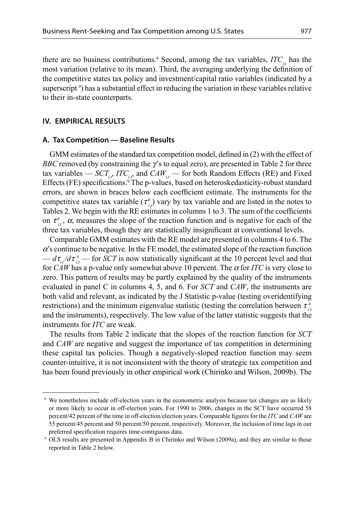there are no business contributions.<sup>8</sup> Second, among the tax variables,  $ITC_{i,t}$  has the most variation (relative to its mean). Third, the averaging underlying the definition of the competitive states tax policy and investment/capital ratio variables (indicated by a superscript *#* ) has a substantial effect in reducing the variation in these variables relative to their in-state counterparts.

## **IV. EMPIRICAL RESULTS**

## **A. Tax Competition — Baseline Results**

GMM estimates of the standard tax competition model, defined in  $(2)$  with the effect of *BBC* removed (by constraining the  $\gamma$ 's to equal zero), are presented in Table 2 for three tax variables —  $SCT_{i,r}$ ,  $ITC_{i,r}$  and  $CAW_{i,t}$  — for both Random Effects (RE) and Fixed Effects (FE) specifications.<sup>9</sup> The p-values, based on heteroskedasticity-robust standard errors, are shown in braces below each coefficient estimate. The instruments for the competitive states tax variable ( $\tau_{i,t}^*$ ) vary by tax variable and are listed in the notes to Tables 2. We begin with the RE estimates in columns 1 to 3. The sum of the coefficients on  $\tau_{i,t}^*$ ,  $\alpha$ , measures the slope of the reaction function and is negative for each of the three tax variables, though they are statistically insignificant at conventional levels.

Comparable GMM estimates with the RE model are presented in columns 4 to 6. The  $\alpha$ 's continue to be negative. In the FE model, the estimated slope of the reaction function  $-d\tau_{i,t}/d\tau_{i,t}^*$  — for *SCT* is now statistically significant at the 10 percent level and that for *CAW* has a p-value only somewhat above 10 percent. The  $\alpha$  for *ITC* is very close to zero. This pattern of results may be partly explained by the quality of the instruments evaluated in panel C in columns 4, 5, and 6. For *SCT* and *CAW*, the instruments are both valid and relevant, as indicated by the J Statistic p-value (testing overidentifying restrictions) and the minimum eigenvalue statistic (testing the correlation between τ *# i*,*t* and the instruments), respectively. The low value of the latter statistic suggests that the instruments for *ITC* are weak.

The results from Table 2 indicate that the slopes of the reaction function for *SCT* and *CAW* are negative and suggest the importance of tax competition in determining these capital tax policies. Though a negatively-sloped reaction function may seem counter-intuitive, it is not inconsistent with the theory of strategic tax competition and has been found previously in other empirical work (Chirinko and Wilson, 2009b). The

 <sup>8</sup> We nonetheless include off-election years in the econometric analysis because tax changes are as likely or more likely to occur in off-election years. For 1990 to 2006, changes in the SCT have occurred 58 percent/42 percent of the time in off-election/election years. Comparable figures for the *ITC* and *CAW* are 55 percent/45 percent and 50 percent/50 percent, respectively. Moreover, the inclusion of time lags in our

preferred specification requires time-contiguous data.<br><sup>9</sup> OLS results are presented in Appendix B in Chirinko and Wilson (2009a), and they are similar to those reported in Table 2 below.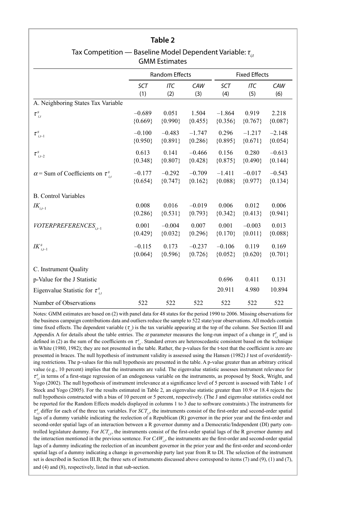## **Table 2**

| Tax Competition — Baseline Model Dependent Variable: $\tau_{_{it}}$<br><b>GMM Estimates</b> |                       |            |           |            |                      |           |
|---------------------------------------------------------------------------------------------|-----------------------|------------|-----------|------------|----------------------|-----------|
|                                                                                             | <b>Random Effects</b> |            |           |            | <b>Fixed Effects</b> |           |
|                                                                                             | <b>SCT</b>            | <b>ITC</b> | CAW       | <b>SCT</b> | <b>ITC</b>           | CAW       |
|                                                                                             | (1)                   | (2)        | (3)       | (4)        | (5)                  | (6)       |
| A. Neighboring States Tax Variable                                                          |                       |            |           |            |                      |           |
| $\tau^{\scriptscriptstyle\#}_{\;\;i,t}$                                                     | $-0.689$              | 0.051      | 1.504     | $-1.864$   | 0.919                | 2.218     |
|                                                                                             | ${0.669}$             | ${0.990}$  | ${0.455}$ | ${0.356}$  | ${0.767}$            | ${0.087}$ |
| $\tau^{\scriptscriptstyle\#}_{\scriptscriptstyle i,t-1}$                                    | $-0.100$              | $-0.483$   | $-1.747$  | 0.296      | $-1.217$             | $-2.148$  |
|                                                                                             | ${0.950}$             | ${0.891}$  | ${0.286}$ | ${0.895}$  | ${0.671}$            | ${0.054}$ |
| $\tau_{i,t-2}^*$                                                                            | 0.613                 | 0.141      | $-0.466$  | 0.156      | 0.280                | $-0.613$  |
|                                                                                             | ${0.348}$             | ${0.807}$  | ${0.428}$ | ${0.875}$  | ${0.490}$            | ${0.144}$ |
| $\alpha$ = Sum of Coefficients on $\tau_{i}^*$                                              | $-0.177$              | $-0.292$   | $-0.709$  | $-1.411$   | $-0.017$             | $-0.543$  |
|                                                                                             | ${0.654}$             | ${0.747}$  | ${0.162}$ | ${0.088}$  | ${0.977}$            | ${0.134}$ |
| <b>B.</b> Control Variables                                                                 |                       |            |           |            |                      |           |
| $I\!K_{_{i,t-1}}$                                                                           | 0.008                 | 0.016      | $-0.019$  | 0.006      | 0.012                | 0.006     |
|                                                                                             | ${0.286}$             | ${0.531}$  | ${0.793}$ | ${0.342}$  | ${0.413}$            | ${0.941}$ |
| VOTERPREFERENCES                                                                            | 0.001                 | $-0.004$   | 0.007     | 0.001      | $-0.003$             | 0.013     |
|                                                                                             | ${0.429}$             | ${0.032}$  | ${0.296}$ | ${0.170}$  | ${0.011}$            | ${0.088}$ |
| $\mathit{IK}^\#_{i,t-1}$                                                                    | $-0.115$              | 0.173      | $-0.237$  | $-0.106$   | 0.119                | 0.169     |
|                                                                                             | ${0.064}$             | ${0.596}$  | ${0.726}$ | ${0.052}$  | ${0.620}$            | ${0.701}$ |
| C. Instrument Quality                                                                       |                       |            |           |            |                      |           |
| p-Value for the J Statistic                                                                 |                       |            |           | 0.696      | 0.411                | 0.131     |
| Eigenvalue Statistic for $\tau_{ii}^*$                                                      |                       |            |           | 20.911     | 4.980                | 10.894    |
| Number of Observations                                                                      | 522                   | 522        | 522       | 522        | 522                  | 522       |

# Tax Competition — Baseline Model Dependent Variable:  $\tau_{_{i,t}}$

Notes: GMM estimates are based on (2) with panel data for 48 states for the period 1990 to 2006. Missing observations for the business campaign contributions data and outliers reduce the sample to 522 state/year observations. All models contain time fixed effects. The dependent variable  $(\tau_{i,l})$  is the tax variable appearing at the top of the column. See Section III and Appendix A for details about the table entries. The  $\alpha$  parameter measures the long-run impact of a change in  $\tau_{i,t}^*$  and is defined in (2) as the sum of the coefficients on  $\tau_{i,t}^*$ . Standard errors are heteroscedastic consistent based on the technique in White (1980, 1982); they are not presented in the table. Rather, the p-values for the t-test that the coefficient is zero are presented in braces. The null hypothesis of instrument validity is assessed using the Hansen (1982) J test of overidentifying restrictions. The p-values for this null hypothesis are presented in the table. A p-value greater than an arbitrary critical value (e.g., 10 percent) implies that the instruments are valid. The eigenvalue statistic assesses instrument relevance for  $\tau^*_{i,l}$  in terms of a first-stage regression of an endogenous variable on the instruments, as proposed by Stock, Wright, and Yogo (2002). The null hypothesis of instrument irrelevance at a significance level of 5 percent is assessed with Table 1 of Stock and Yogo (2005). For the results estimated in Table 2, an eigenvalue statistic greater than 10.9 or 18.4 rejects the null hypothesis constructed with a bias of 10 percent or 5 percent, respectively. (The J and eigenvalue statistics could not be reported for the Random Effects models displayed in columns 1 to 3 due to software constraints.) The instruments for  $\tau^*_{i,t}$  differ for each of the three tax variables. For  $SCT_{i,\rho}$  the instruments consist of the first-order and second-order spatial lags of a dummy variable indicating the reelection of a Republican  $(R)$  governor in the prior year and the first-order and second-order spatial lags of an interaction between a R governor dummy and a Democratic/Independent (DI) party controlled legislature dummy. For  $ICT_{i}$ , the instruments consist of the first-order spatial lags of the R governor dummy and the interaction mentioned in the previous sentence. For  $CAW_{i,p}$  the instruments are the first-order and second-order spatial lags of a dummy indicating the reelection of an incumbent governor in the prior year and the first-order and second-order spatial lags of a dummy indicating a change in governorship party last year from R to DI. The selection of the instrument set is described in Section III.B; the three sets of instruments discussed above correspond to items (7) and (9), (1) and (7), and (4) and (8), respectively, listed in that sub-section.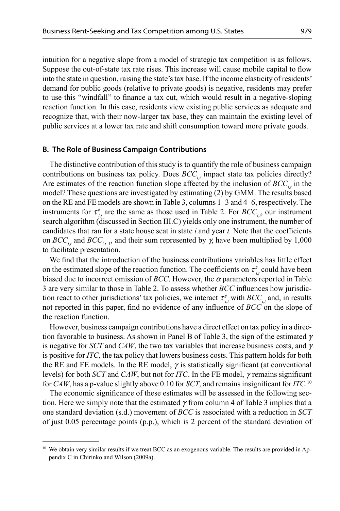intuition for a negative slope from a model of strategic tax competition is as follows. Suppose the out-of-state tax rate rises. This increase will cause mobile capital to flow into the state in question, raising the state's tax base. If the income elasticity of residents' demand for public goods (relative to private goods) is negative, residents may prefer to use this "windfall" to finance a tax cut, which would result in a negative-sloping reaction function. In this case, residents view existing public services as adequate and recognize that, with their now-larger tax base, they can maintain the existing level of public services at a lower tax rate and shift consumption toward more private goods.

#### **B. The Role of Business Campaign Contributions**

The distinctive contribution of this study is to quantify the role of business campaign contributions on business tax policy. Does  $BCC_i$ , impact state tax policies directly? Are estimates of the reaction function slope affected by the inclusion of  $BCC_i$ , in the model? These questions are investigated by estimating (2) by GMM. The results based on the RE and FE models are shown in Table 3, columns 1–3 and 4–6, respectively. The instruments for  $\tau^*_{i,t}$  are the same as those used in Table 2. For  $BCC_{i,t}$ , our instrument search algorithm (discussed in Section III.C) yields only one instrument, the number of candidates that ran for a state house seat in state *i* and year *t*. Note that the coefficients on *BCC<sub>i</sub>*, and *BCC*<sub>*i*<sub>t–1</sub></sub>, and their sum represented by  $\gamma$ , have been multiplied by 1,000 to facilitate presentation.

We find that the introduction of the business contributions variables has little effect on the estimated slope of the reaction function. The coefficients on  $\tau_{i,t}^*$  could have been biased due to incorrect omission of *BCC*. However, the  $\alpha$  parameters reported in Table 3 are very similar to those in Table 2. To assess whether *BCC* influences how jurisdiction react to other jurisdictions' tax policies, we interact  $\tau_{i,t}^*$  with  $BCC_{i,t}$  and, in results not reported in this paper, find no evidence of any influence of *BCC* on the slope of the reaction function.

However, business campaign contributions have a direct effect on tax policy in a direction favorable to business. As shown in Panel B of Table 3, the sign of the estimated  $\gamma$ is negative for *SCT* and *CAW*, the two tax variables that increase business costs, and  $\gamma$ is positive for *ITC*, the tax policy that lowers business costs. This pattern holds for both the RE and FE models. In the RE model,  $\gamma$  is statistically significant (at conventional levels) for both *SCT* and *CAW*, but not for *ITC*. In the FE model,  $\gamma$  remains significant for *CAW*, has a p-value slightly above 0.10 for *SCT*, and remains insignificant for *ITC*.<sup>10</sup>

The economic significance of these estimates will be assessed in the following section. Here we simply note that the estimated  $\gamma$  from column 4 of Table 3 implies that a one standard deviation (s.d.) movement of *BCC* is associated with a reduction in *SCT* of just 0.05 percentage points (p.p.), which is 2 percent of the standard deviation of

 $10$  We obtain very similar results if we treat BCC as an exogenous variable. The results are provided in Appendix C in Chirinko and Wilson (2009a).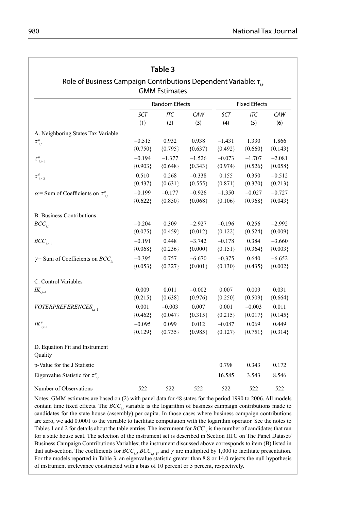## **Table 3**

Role of Business Campaign Contributions Dependent Variable:  $\tau_{i,t}$ GMM Estimates

|                                                            |           | Random Effects |           |           | <b>Fixed Effects</b> |           |
|------------------------------------------------------------|-----------|----------------|-----------|-----------|----------------------|-----------|
|                                                            | SCT       | <b>ITC</b>     | CAW       | SCT       | <b>ITC</b>           | CAW       |
|                                                            | (1)       | (2)            | (3)       | (4)       | (5)                  | (6)       |
| A. Neighboring States Tax Variable                         |           |                |           |           |                      |           |
| $\tau^{\scriptscriptstyle\#}_{\ \ i,t}$                    | $-0.515$  | 0.932          | 0.938     | $-1.431$  | 1.330                | 1.866     |
|                                                            | ${0.750}$ | ${0.795}$      | ${0.637}$ | ${0.492}$ | ${0.660}$            | ${0.143}$ |
| $\tau_{i,t-1}^*$                                           | $-0.194$  | $-1.377$       | $-1.526$  | $-0.073$  | $-1.707$             | $-2.081$  |
|                                                            | ${0.903}$ | ${0.648}$      | ${0.343}$ | ${0.974}$ | ${0.526}$            | ${0.058}$ |
| $\tau_{i,t-2}^*$                                           | 0.510     | 0.268          | $-0.338$  | 0.155     | 0.350                | $-0.512$  |
|                                                            | ${0.437}$ | ${0.631}$      | ${0.555}$ | ${0.871}$ | ${0.370}$            | ${0.213}$ |
| $\alpha$ = Sum of Coefficients on $\tau^*$ .               | $-0.199$  | $-0.177$       | $-0.926$  | $-1.350$  | $-0.027$             | $-0.727$  |
|                                                            | ${0.622}$ | ${0.850}$      | ${0.068}$ | ${0.106}$ | ${0.968}$            | ${0.043}$ |
| <b>B.</b> Business Contributions                           |           |                |           |           |                      |           |
| $BCC_{i,t}$                                                | $-0.204$  | 0.309          | $-2.927$  | $-0.196$  | 0.256                | $-2.992$  |
|                                                            | ${0.075}$ | ${0.459}$      | ${0.012}$ | ${0.122}$ | ${0.524}$            | ${0.009}$ |
| $BCC_{i,t-1}$                                              | $-0.191$  | 0.448          | $-3.742$  | $-0.178$  | 0.384                | $-3.660$  |
|                                                            | ${0.068}$ | ${0.236}$      | ${0.000}$ | ${0.151}$ | ${0.364}$            | ${0.003}$ |
| $\gamma$ = Sum of Coefficients on <i>BCC</i> <sub>it</sub> | $-0.395$  | 0.757          | $-6.670$  | $-0.375$  | 0.640                | $-6.652$  |
|                                                            | ${0.053}$ | ${0.327}$      | ${0.001}$ | ${0.130}$ | ${0.435}$            | ${0.002}$ |
| C. Control Variables                                       |           |                |           |           |                      |           |
| $I\!K_{_{i,t-1}}$                                          | 0.009     | 0.011          | $-0.002$  | 0.007     | 0.009                | 0.031     |
|                                                            | ${0.215}$ | ${0.638}$      | ${0.976}$ | ${0.250}$ | ${0.509}$            | ${0.664}$ |
| $VOTERPREFERENCES_{i-1}$                                   | 0.001     | $-0.003$       | 0.007     | 0.001     | $-0.003$             | 0.011     |
|                                                            | ${0.462}$ | ${0.047}$      | ${0.315}$ | ${0.215}$ | ${0.017}$            | ${0.145}$ |
| $\mathit{IK}^\#_{i,t-1}$                                   | $-0.095$  | 0.099          | 0.012     | $-0.087$  | 0.069                | 0.449     |
|                                                            | ${0.129}$ | ${0.735}$      | ${0.985}$ | ${0.127}$ | ${0.751}$            | ${0.314}$ |
| D. Equation Fit and Instrument<br>Quality                  |           |                |           |           |                      |           |
| p-Value for the J Statistic                                |           |                |           | 0.798     | 0.343                | 0.172     |
| Eigenvalue Statistic for $\tau^*$ .                        |           |                |           | 16.585    | 3.543                | 8.546     |
| Number of Observations                                     | 522       | 522            | 522       | 522       | 522                  | 522       |

Notes: GMM estimates are based on (2) with panel data for 48 states for the period 1990 to 2006. All models contain time fixed effects. The  $BCC_{i,t}$  variable is the logarithm of business campaign contributions made to candidates for the state house (assembly) per capita. In those cases where business campaign contributions are zero, we add 0.0001 to the variable to facilitate computation with the logarithm operator. See the notes to Tables 1 and 2 for details about the table entries. The instrument for  $BCC_{i,t}$  is the number of candidates that ran for a state house seat. The selection of the instrument set is described in Section III.C on The Panel Dataset/ Business Campaign Contributions Variables; the instrument discussed above corresponds to item (B) listed in that sub-section. The coefficients for  $BCC_{i,t}$ ,  $BCC_{i,t-1}$ , and  $\gamma$  are multiplied by 1,000 to facilitate presentation. For the models reported in Table 3, an eigenvalue statistic greater than 8.8 or 14.0 rejects the null hypothesis of instrument irrelevance constructed with a bias of 10 percent or 5 percent, respectively.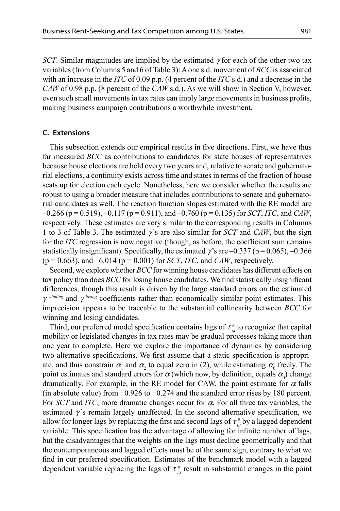*SCT*. Similar magnitudes are implied by the estimated  $\gamma$  for each of the other two tax variables (from Columns 5 and 6 of Table 3): A one s.d. movement of *BCC* is associated with an increase in the *ITC* of 0.09 p.p. (4 percent of the *ITC* s.d.) and a decrease in the *CAW* of 0.98 p.p. (8 percent of the *CAW* s.d.). As we will show in Section V, however, even such small movements in tax rates can imply large movements in business profits, making business campaign contributions a worthwhile investment.

## **C. Extensions**

This subsection extends our empirical results in five directions. First, we have thus far measured *BCC* as contributions to candidates for state houses of representatives because house elections are held every two years and, relative to senate and gubernatorial elections, a continuity exists across time and states in terms of the fraction of house seats up for election each cycle. Nonetheless, here we consider whether the results are robust to using a broader measure that includes contributions to senate and gubernatorial candidates as well. The reaction function slopes estimated with the RE model are –0.266 (p = 0.519), –0.117 (p = 0.911), and –0.760 (p = 0.135) for *SCT*, *ITC*, and *CAW*, respectively. These estimates are very similar to the corresponding results in Columns 1 to 3 of Table 3. The estimated γ 's are also similar for *SCT* and *CAW*, but the sign for the *ITC* regression is now negative (though, as before, the coefficient sum remains statistically insignificant). Specifically, the estimated  $\gamma$ 's are –0.337 (p = 0.065), –0.366  $(p = 0.663)$ , and  $-6.014$  ( $p = 0.001$ ) for *SCT*, *ITC*, and *CAW*, respectively.

Second, we explore whether *BCC* for winning house candidates has different effects on tax policy than does *BCC* for losing house candidates. We find statistically insignificant differences, though this result is driven by the large standard errors on the estimated  $\gamma$ <sup>*winning*</sup> and  $\gamma$ <sup>*losing*</sup> coefficients rather than economically similar point estimates. This imprecision appears to be traceable to the substantial collinearity between *BCC* for winning and losing candidates.

Third, our preferred model specification contains lags of  $\tau_{i,t}^*$  to recognize that capital mobility or legislated changes in tax rates may be gradual processes taking more than one year to complete. Here we explore the importance of dynamics by considering two alternative specifications. We first assume that a static specification is appropriate, and thus constrain  $\alpha_1$  and  $\alpha_2$  to equal zero in (2), while estimating  $\alpha_0$  freely. The point estimates and standard errors for  $\alpha$  (which now, by definition, equals  $\alpha_0$ ) change dramatically. For example, in the RE model for CAW, the point estimate for  $\alpha$  falls (in absolute value) from −0.926 to −0.274 and the standard error rises by 180 percent. For *SCT* and *ITC*, more dramatic changes occur for  $\alpha$ . For all three tax variables, the estimated  $\gamma$ 's remain largely unaffected. In the second alternative specification, we allow for longer lags by replacing the first and second lags of  $\tau_{i,t}^{\#}$  by a lagged dependent variable. This specification has the advantage of allowing for infinite number of lags, but the disadvantages that the weights on the lags must decline geometrically and that the contemporaneous and lagged effects must be of the same sign, contrary to what we find in our preferred specification. Estimates of the benchmark model with a lagged dependent variable replacing the lags of  $\tau_{i,t}^{\#}$  result in substantial changes in the point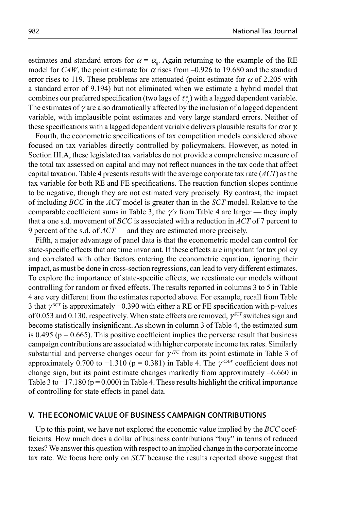estimates and standard errors for  $\alpha = \alpha_0$ . Again returning to the example of the RE model for *CAW*, the point estimate for  $\alpha$  rises from -0.926 to 19.680 and the standard error rises to 119. These problems are attenuated (point estimate for  $\alpha$  of 2.205 with a standard error of 9.194) but not eliminated when we estimate a hybrid model that combines our preferred specification (two lags of  $\tau_{i,j}^*$ ) with a lagged dependent variable. The estimates of  $\gamma$  are also dramatically affected by the inclusion of a lagged dependent variable, with implausible point estimates and very large standard errors. Neither of these specifications with a lagged dependent variable delivers plausible results for  $\alpha$  or  $\gamma$ .

Fourth, the econometric specifications of tax competition models considered above focused on tax variables directly controlled by policymakers. However, as noted in Section III.A, these legislated tax variables do not provide a comprehensive measure of the total tax assessed on capital and may not reflect nuances in the tax code that affect capital taxation. Table 4 presents results with the average corporate tax rate (*ACT*) as the tax variable for both RE and FE specifications. The reaction function slopes continue to be negative, though they are not estimated very precisely. By contrast, the impact of including *BCC* in the *ACT* model is greater than in the *SCT* model. Relative to the comparable coefficient sums in Table 3, the  $\gamma$ 's from Table 4 are larger — they imply that a one s.d. movement of *BCC* is associated with a reduction in *ACT* of 7 percent to 9 percent of the s.d. of *ACT* — and they are estimated more precisely.

Fifth, a major advantage of panel data is that the econometric model can control for state-specific effects that are time invariant. If these effects are important for tax policy and correlated with other factors entering the econometric equation, ignoring their impact, as must be done in cross-section regressions, can lead to very different estimates. To explore the importance of state-specific effects, we reestimate our models without controlling for random or fixed effects. The results reported in columns 3 to 5 in Table 4 are very different from the estimates reported above. For example, recall from Table 3 that  $\gamma^{SCT}$  is approximately  $-0.390$  with either a RE or FE specification with p-values of 0.053 and 0.130, respectively. When state effects are removed, γ *SCT* switches sign and become statistically insignificant. As shown in column 3 of Table 4, the estimated sum is 0.495 ( $p = 0.665$ ). This positive coefficient implies the perverse result that business campaign contributions are associated with higher corporate income tax rates. Similarly substantial and perverse changes occur for  $\gamma$ <sup>*ITC*</sup> from its point estimate in Table 3 of approximately 0.700 to  $-1.310$  (p = 0.381) in Table 4. The  $\gamma^{CHW}$  coefficient does not change sign, but its point estimate changes markedly from approximately –6.660 in Table 3 to  $-17.180$  (p = 0.000) in Table 4. These results highlight the critical importance of controlling for state effects in panel data.

## **V. THE ECONOMIC VALUE OF BUSINESS CAMPAIGN CONTRIBUTIONS**

Up to this point, we have not explored the economic value implied by the *BCC* coefficients. How much does a dollar of business contributions "buy" in terms of reduced taxes? We answer this question with respect to an implied change in the corporate income tax rate. We focus here only on *SCT* because the results reported above suggest that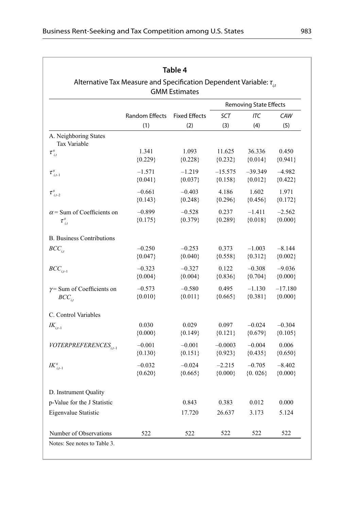| Table 4<br>Alternative Tax Measure and Specification Dependent Variable: $\tau_{i}$ |                       |                      |                               |           |           |  |
|-------------------------------------------------------------------------------------|-----------------------|----------------------|-------------------------------|-----------|-----------|--|
|                                                                                     |                       | <b>GMM Estimates</b> | <b>Removing State Effects</b> |           |           |  |
|                                                                                     | <b>Random Effects</b> | <b>Fixed Effects</b> | SCT                           | ITC       | CAW       |  |
|                                                                                     | (1)                   | (2)                  | (3)                           | (4)       | (5)       |  |
| A. Neighboring States<br><b>Tax Variable</b>                                        |                       |                      |                               |           |           |  |
| $\tau^{\scriptscriptstyle\#}_{\ \scriptscriptstyle i,t}$                            | 1.341                 | 1.093                | 11.625                        | 36.336    | 0.450     |  |
|                                                                                     | ${0.229}$             | ${0.228}$            | ${0.232}$                     | ${0.014}$ | ${0.941}$ |  |
| $\tau^{\scriptscriptstyle\#}_{\scriptscriptstyle i,t-1}$                            | $-1.571$              | $-1.219$             | $-15.575$                     | $-39.349$ | $-4.982$  |  |
|                                                                                     | ${0.041}$             | ${0.037}$            | ${0.158}$                     | ${0.012}$ | ${0.422}$ |  |
| $\tau_{i,t-2}^{\#}$                                                                 | $-0.661$              | $-0.403$             | 4.186                         | 1.602     | 1.971     |  |
|                                                                                     | ${0.143}$             | ${0.248}$            | ${0.296}$                     | ${0.456}$ | ${0.172}$ |  |
| $\alpha$ = Sum of Coefficients on                                                   | $-0.899$              | $-0.528$             | 0.237                         | $-1.411$  | $-2.562$  |  |
| $\tau^{\scriptscriptstyle\#}_{\ \scriptscriptstyle i,t}$                            | ${0.175}$             | ${0.379}$            | ${0.289}$                     | ${0.018}$ | ${0.000}$ |  |
|                                                                                     |                       |                      |                               |           |           |  |
| <b>B.</b> Business Contributions                                                    |                       |                      |                               |           |           |  |
| $BCC_{ii}$                                                                          | $-0.250$              | $-0.253$             | 0.373                         | $-1.003$  | $-8.144$  |  |
|                                                                                     | ${0.047}$             | ${0.040}$            | ${0.558}$                     | ${0.312}$ | ${0.002}$ |  |
| $\mathit{BCC}_{i,t-1}$                                                              | $-0.323$              | $-0.327$             | 0.122                         | $-0.308$  | $-9.036$  |  |
|                                                                                     | ${0.004}$             | ${0.004}$            | ${0.836}$                     | ${0.704}$ | ${0.000}$ |  |
| $\gamma$ = Sum of Coefficients on                                                   | $-0.573$              | $-0.580$             | 0.495                         | $-1.130$  | $-17.180$ |  |
| $BCC_{i,t}$                                                                         | ${0.010}$             | ${0.011}$            | ${0.665}$                     | ${0.381}$ | ${0.000}$ |  |
|                                                                                     |                       |                      |                               |           |           |  |
| C. Control Variables                                                                |                       |                      |                               |           |           |  |
| $I\!K_{_{i,t-1}}$                                                                   | 0.030                 | 0.029                | 0.097                         | $-0.024$  | $-0.304$  |  |
|                                                                                     | ${0.000}$             | ${0.149}$            | ${0.121}$                     | ${0.679}$ | ${0.105}$ |  |
| $VOTERPREFERENCES_{i+1}$                                                            | $-0.001$              | $-0.001$             | $-0.0003$                     | $-0.004$  | 0.006     |  |
|                                                                                     | ${0.130}$             | ${0.151}$            | ${0.923}$                     | ${0.435}$ | ${0.650}$ |  |
| $IK_{i,t-1}^*$                                                                      | $-0.032$              | $-0.024$             | $-2.215$                      | $-0.705$  | $-8.402$  |  |
|                                                                                     | ${0.620}$             | ${0.665}$            | ${0.000}$                     | ${0.026}$ | ${0.000}$ |  |
|                                                                                     |                       |                      |                               |           |           |  |
| D. Instrument Quality                                                               |                       |                      |                               |           |           |  |
| p-Value for the J Statistic                                                         |                       | 0.843                | 0.383                         | 0.012     | 0.000     |  |
| Eigenvalue Statistic                                                                |                       | 17.720               | 26.637                        | 3.173     | 5.124     |  |
| Number of Observations                                                              | 522                   | 522                  | 522                           | 522       | 522       |  |
| Notes: See notes to Table 3.                                                        |                       |                      |                               |           |           |  |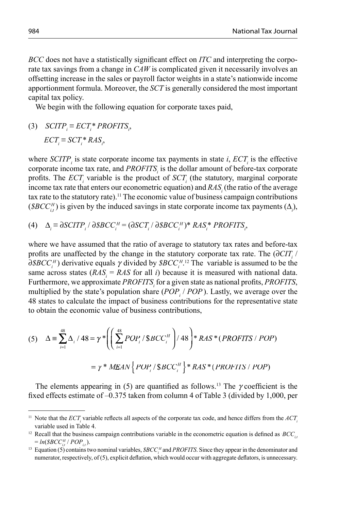*BCC* does not have a statistically significant effect on *ITC* and interpreting the corporate tax savings from a change in *CAW* is complicated given it necessarily involves an offsetting increase in the sales or payroll factor weights in a state's nationwide income apportionment formula. Moreover, the *SCT* is generally considered the most important capital tax policy.

We begin with the following equation for corporate taxes paid,

(3) 
$$
SCITP_i \equiv ECT_i^* PROFITS_i, \quad ECT_i \equiv SCT_i^* RAS_i,
$$

where  $SCTP_i$  is state corporate income tax payments in state *i*,  $ECT_i$  is the effective corporate income tax rate, and *PROFITS*<sub>*i*</sub> is the dollar amount of before-tax corporate profits. The  $ECT<sub>i</sub>$  variable is the product of  $SCI<sub>i</sub>$  (the statutory, marginal corporate income tax rate that enters our econometric equation) and  $RAS<sub>i</sub>$  (the ratio of the average tax rate to the statutory rate).<sup>11</sup> The economic value of business campaign contributions  $(\mathcal{S}BCC_{i,t}^H)$  is given by the induced savings in state corporate income tax payments  $(\Delta_i)$ ,

(4) 
$$
\Delta_i \equiv \partial SCITP_i / \partial SBCC_i^H = (\partial SCT_i / \partial SBCC_i^H)^* RAS_i^* PROFITS_i,
$$

where we have assumed that the ratio of average to statutory tax rates and before-tax profits are unaffected by the change in the statutory corporate tax rate. The (∂*CIT<sub>i</sub>* /  $\partial$ *\$BCC*<sup>*H*</sup></sup>) derivative equals  $\gamma$  divided by *\$BCC*<sup>*H*</sup>.<sup>12</sup> The variable is assumed to be the same across states  $(RAS_i = RAS$  for all *i*) because it is measured with national data. Furthermore, we approximate *PROFITS*<sub>*i*</sub> for a given state as national profits, *PROFITS*, multiplied by the state's population share  $(POP_i / POP)$ . Lastly, we average over the 48 states to calculate the impact of business contributions for the representative state to obtain the economic value of business contributions,

$$
(5) \quad \Delta \equiv \sum_{i=1}^{48} \Delta_i / 48 = \gamma * \left( \left( \sum_{i=1}^{48} POP_i / \$ BCC_i^H \right) / 48 \right) * RAS * (PROFITS / POP)
$$
\n
$$
= \gamma * MEAN \left\{ POP_i / \$ BCC_i^H \right\} * RAS * (PROFITS / POP)
$$

The elements appearing in (5) are quantified as follows.<sup>13</sup> The  $\gamma$  coefficient is the fixed effects estimate of -0.375 taken from column 4 of Table 3 (divided by 1,000, per

<sup>&</sup>lt;sup>11</sup> Note that the  $ECT<sub>i</sub>$  variable reflects all aspects of the corporate tax code, and hence differs from the  $ACT<sub>i</sub>$ variable used in Table 4.

<sup>&</sup>lt;sup>12</sup> Recall that the business campaign contributions variable in the econometric equation is defined as  $BCC_{i,t}$  $= ln(SBCC_{i,t}^H / POP_{i,t}).$ 

 $= ln(SBCC<sub>H</sub><sup>H</sup> / POP<sub>II</sub>)$ .<br><sup>13</sup> Equation (5) contains two nominal variables, *\$BCC*<sup>*H*</sup> and *PROFITS*. Since they appear in the denominator and numerator, respectively, of (5), explicit deflation, which would occur with aggregate deflators, is unnecessary.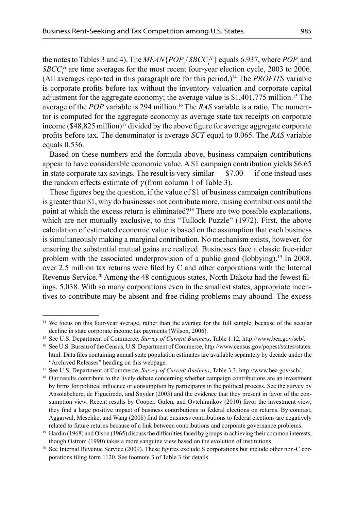the notes to Tables 3 and 4). The  $MEAN \{POP_i / \$BCC_i^H\}$  equals 6.937, where  $POP_i$  and  $\mathcal{B}$ *BCC*<sup>*H*</sup> are time averages for the most recent four-year election cycle, 2003 to 2006. (All averages reported in this paragraph are for this period.)14 The *PROFITS* variable is corporate profits before tax without the inventory valuation and corporate capital adjustment for the aggregate economy; the average value is  $$1,401,775$  million.<sup>15</sup> The average of the *POP* variable is 294 million.16 The *RAS* variable is a ratio. The numerator is computed for the aggregate economy as average state tax receipts on corporate income  $(\$48,825$  million)<sup>17</sup> divided by the above figure for average aggregate corporate profits before tax. The denominator is average *SCT* equal to 0.065. The *RAS* variable equals 0.536.

Based on these numbers and the formula above, business campaign contributions appear to have considerable economic value. A \$1 campaign contribution yields \$6.65 in state corporate tax savings. The result is very similar  $-$  \$7.00  $-$  if one instead uses the random effects estimate of  $\gamma$  (from column 1 of Table 3).

These figures beg the question, if the value of \$1 of business campaign contributions is greater than \$1, why do businesses not contribute more, raising contributions until the point at which the excess return is eliminated?<sup>18</sup> There are two possible explanations, which are not mutually exclusive, to this "Tullock Puzzle" (1972). First, the above calculation of estimated economic value is based on the assumption that each business is simultaneously making a marginal contribution. No mechanism exists, however, for ensuring the substantial mutual gains are realized. Businesses face a classic free-rider problem with the associated underprovision of a public good (lobbying).<sup>19</sup> In 2008, over 2.5 million tax returns were filed by C and other corporations with the Internal Revenue Service.<sup>20</sup> Among the 48 contiguous states, North Dakota had the fewest filings, 5,038. With so many corporations even in the smallest states, appropriate incentives to contribute may be absent and free-riding problems may abound. The excess

<sup>&</sup>lt;sup>14</sup> We focus on this four-year average, rather than the average for the full sample, because of the secular decline in state corporate income tax payments (Wilson, 2006).

<sup>15</sup> See U.S. Department of Commerce, *Survey of Current Business*, Table 1.12, http://www.bea.gov/scb/.

<sup>16</sup> See U.S. Bureau of the Census, U.S. Department of Commerce, http://www.census.gov/popest/states/states. html. Data files containing annual state population estimates are available separately by decade under the "Archived Releases" heading on this webpage.

<sup>17</sup> See U.S. Department of Commerce, *Survey of Current Business*, Table 3.3, http://www.bea.gov/scb/.

<sup>&</sup>lt;sup>18</sup> Our results contribute to the lively debate concerning whether campaign contributions are an investment by firms for political influence or consumption by participants in the political process. See the survey by Ansolabehere, de Figueiredo, and Snyder (2003) and the evidence that they present in favor of the consumption view. Recent results by Cooper, Gulen, and Ovtchinnikov (2010) favor the investment view; they find a large positive impact of business contributions to federal elections on returns. By contrast, Aggarwal, Meschke, and Wang (2008) find that business contributions to federal elections are negatively related to future returns because of a link between contributions and corporate governance problems.

<sup>&</sup>lt;sup>19</sup> Hardin (1968) and Olson (1965) discuss the difficulties faced by groups in achieving their common interests, though Ostrom (1990) takes a more sanguine view based on the evolution of institutions.

 $20$  See Internal Revenue Service (2009). These figures exclude S corporations but include other non-C corporations filing form 1120. See footnote 3 of Table 3 for details.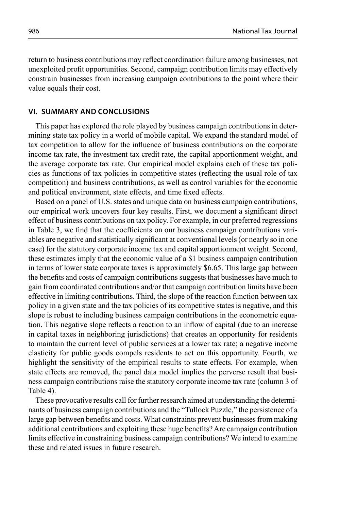return to business contributions may reflect coordination failure among businesses, not unexploited profi t opportunities. Second, campaign contribution limits may effectively constrain businesses from increasing campaign contributions to the point where their value equals their cost.

## **VI. SUMMARY AND CONCLUSIONS**

This paper has explored the role played by business campaign contributions in determining state tax policy in a world of mobile capital. We expand the standard model of tax competition to allow for the influence of business contributions on the corporate income tax rate, the investment tax credit rate, the capital apportionment weight, and the average corporate tax rate. Our empirical model explains each of these tax policies as functions of tax policies in competitive states (reflecting the usual role of tax competition) and business contributions, as well as control variables for the economic and political environment, state effects, and time fixed effects.

Based on a panel of U.S. states and unique data on business campaign contributions, our empirical work uncovers four key results. First, we document a significant direct effect of business contributions on tax policy. For example, in our preferred regressions in Table 3, we find that the coefficients on our business campaign contributions variables are negative and statistically significant at conventional levels (or nearly so in one case) for the statutory corporate income tax and capital apportionment weight. Second, these estimates imply that the economic value of a \$1 business campaign contribution in terms of lower state corporate taxes is approximately \$6.65. This large gap between the benefits and costs of campaign contributions suggests that businesses have much to gain from coordinated contributions and/or that campaign contribution limits have been effective in limiting contributions. Third, the slope of the reaction function between tax policy in a given state and the tax policies of its competitive states is negative, and this slope is robust to including business campaign contributions in the econometric equation. This negative slope reflects a reaction to an inflow of capital (due to an increase in capital taxes in neighboring jurisdictions) that creates an opportunity for residents to maintain the current level of public services at a lower tax rate; a negative income elasticity for public goods compels residents to act on this opportunity. Fourth, we highlight the sensitivity of the empirical results to state effects. For example, when state effects are removed, the panel data model implies the perverse result that business campaign contributions raise the statutory corporate income tax rate (column 3 of Table 4).

These provocative results call for further research aimed at understanding the determinants of business campaign contributions and the "Tullock Puzzle," the persistence of a large gap between benefits and costs. What constraints prevent businesses from making additional contributions and exploiting these huge benefits? Are campaign contribution limits effective in constraining business campaign contributions? We intend to examine these and related issues in future research.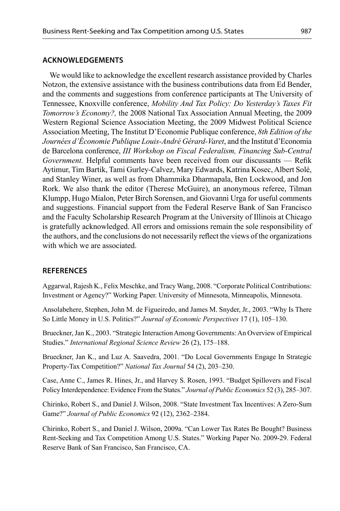## **ACKNOWLEDGEMENTS**

We would like to acknowledge the excellent research assistance provided by Charles Notzon, the extensive assistance with the business contributions data from Ed Bender, and the comments and suggestions from conference participants at The University of Tennessee, Knoxville conference, *Mobility And Tax Policy: Do Yesterday's Taxes Fit Tomorrow's Economy?,* the 2008 National Tax Association Annual Meeting, the 2009 Western Regional Science Association Meeting, the 2009 Midwest Political Science Association Meeting, The Institut D'Economie Publique conference, *8th Edition of the Journées d'Économie Publique Louis-André Gérard-Varet*, and the Institut d'Economia de Barcelona conference, *III Workshop on Fiscal Federalism, Financing Sub-Central Government.* Helpful comments have been received from our discussants — Refik Aytimur, Tim Bartik, Tami Gurley-Calvez, Mary Edwards, Katrina Kosec, Albert Solé, and Stanley Winer, as well as from Dhammika Dharmapala, Ben Lockwood, and Jon Rork. We also thank the editor (Therese McGuire), an anonymous referee, Tilman Klumpp, Hugo Mialon, Peter Birch Sorensen, and Giovanni Urga for useful comments and suggestions. Financial support from the Federal Reserve Bank of San Francisco and the Faculty Scholarship Research Program at the University of Illinois at Chicago is gratefully acknowledged. All errors and omissions remain the sole responsibility of the authors, and the conclusions do not necessarily reflect the views of the organizations with which we are associated.

## **REFERENCES**

Aggarwal, Rajesh K., Felix Meschke, and Tracy Wang, 2008. "Corporate Political Contributions: Investment or Agency?" Working Paper. University of Minnesota, Minneapolis, Minnesota.

Ansolabehere, Stephen, John M. de Figueiredo, and James M. Snyder, Jr., 2003. "Why Is There So Little Money in U.S. Politics?" *Journal of Economic Perspectives* 17 (1), 105–130.

Brueckner, Jan K., 2003. "Strategic Interaction Among Governments: An Overview of Empirical Studies." *International Regional Science Review* 26 (2), 175–188.

Brueckner, Jan K., and Luz A. Saavedra, 2001. "Do Local Governments Engage In Strategic Property-Tax Competition?" *National Tax Journal* 54 (2), 203–230.

Case, Anne C., James R. Hines, Jr., and Harvey S. Rosen, 1993. "Budget Spillovers and Fiscal Policy Interdependence: Evidence From the States." *Journal of Public Economics* 52 (3), 285–307.

Chirinko, Robert S., and Daniel J. Wilson, 2008. "State Investment Tax Incentives: A Zero-Sum Game?" *Journal of Public Economics* 92 (12), 2362–2384.

Chirinko, Robert S., and Daniel J. Wilson, 2009a. "Can Lower Tax Rates Be Bought? Business Rent-Seeking and Tax Competition Among U.S. States." Working Paper No. 2009-29. Federal Reserve Bank of San Francisco, San Francisco, CA.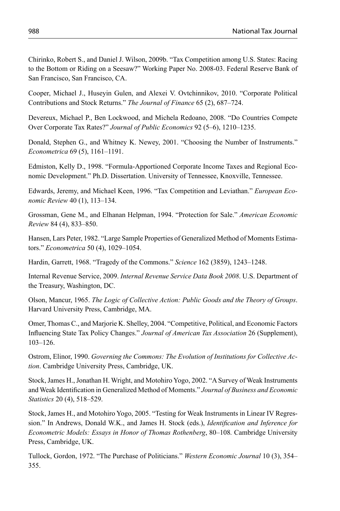Chirinko, Robert S., and Daniel J. Wilson, 2009b. "Tax Competition among U.S. States: Racing to the Bottom or Riding on a Seesaw?" Working Paper No. 2008-03. Federal Reserve Bank of San Francisco, San Francisco, CA.

Cooper, Michael J., Huseyin Gulen, and Alexei V. Ovtchinnikov, 2010. "Corporate Political Contributions and Stock Returns." *The Journal of Finance* 65 (2), 687–724.

Devereux, Michael P., Ben Lockwood, and Michela Redoano, 2008. "Do Countries Compete Over Corporate Tax Rates?" *Journal of Public Economics* 92 (5–6), 1210–1235.

Donald, Stephen G., and Whitney K. Newey, 2001. "Choosing the Number of Instruments." *Econometrica* 69 (5), 1161–1191.

Edmiston, Kelly D., 1998. "Formula-Apportioned Corporate Income Taxes and Regional Economic Development." Ph.D. Dissertation. University of Tennessee, Knoxville, Tennessee.

Edwards, Jeremy, and Michael Keen, 1996. "Tax Competition and Leviathan." *European Economic Review* 40 (1), 113–134.

Grossman, Gene M., and Elhanan Helpman, 1994. "Protection for Sale." *American Economic Review* 84 (4), 833–850.

Hansen, Lars Peter, 1982. "Large Sample Properties of Generalized Method of Moments Estimators." *Econometrica* 50 (4), 1029–1054.

Hardin, Garrett, 1968. "Tragedy of the Commons." *Science* 162 (3859), 1243–1248.

Internal Revenue Service, 2009. *Internal Revenue Service Data Book 2008*. U.S. Department of the Treasury, Washington, DC.

Olson, Mancur, 1965. *The Logic of Collective Action: Public Goods and the Theory of Groups*. Harvard University Press, Cambridge, MA.

Omer, Thomas C., and Marjorie K. Shelley, 2004. "Competitive, Political, and Economic Factors Influencing State Tax Policy Changes." *Journal of American Tax Association* 26 (Supplement), 103–126.

Ostrom, Elinor, 1990. *Governing the Commons: The Evolution of Institutions for Collective Action*. Cambridge University Press, Cambridge, UK.

Stock, James H., Jonathan H. Wright, and Motohiro Yogo, 2002. "A Survey of Weak Instruments and Weak Identification in Generalized Method of Moments." *Journal of Business and Economic Statistics* 20 (4), 518–529.

Stock, James H., and Motohiro Yogo, 2005. "Testing for Weak Instruments in Linear IV Regression." In Andrews, Donald W.K., and James H. Stock (eds.), *Identification and Inference for Econometric Models: Essays in Honor of Thomas Rothenberg*, 80–108*.* Cambridge University Press, Cambridge, UK.

Tullock, Gordon, 1972. "The Purchase of Politicians." *Western Economic Journal* 10 (3), 354– 355.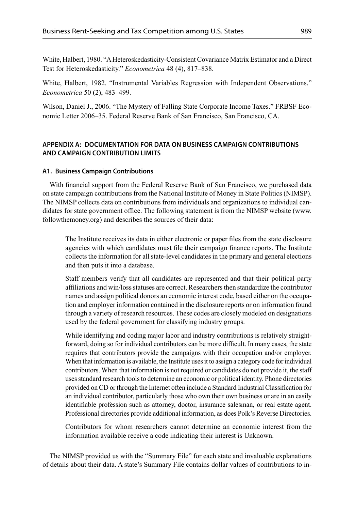White, Halbert, 1980. "A Heteroskedasticity-Consistent Covariance Matrix Estimator and a Direct Test for Heteroskedasticity." *Econometrica* 48 (4), 817–838.

White, Halbert, 1982. "Instrumental Variables Regression with Independent Observations." *Econometrica* 50 (2), 483–499.

Wilson, Daniel J., 2006. "The Mystery of Falling State Corporate Income Taxes." FRBSF Economic Letter 2006–35. Federal Reserve Bank of San Francisco, San Francisco, CA.

## **APPENDIX A: DOCUMENTATION FOR DATA ON BUSINESS CAMPAIGN CONTRIBUTIONS AND CAMPAIGN CONTRIBUTION LIMITS**

## **A1. Business Campaign Contributions**

With financial support from the Federal Reserve Bank of San Francisco, we purchased data on state campaign contributions from the National Institute of Money in State Politics (NIMSP). The NIMSP collects data on contributions from individuals and organizations to individual candidates for state government office. The following statement is from the NIMSP website (www. followthemoney.org) and describes the sources of their data:

The Institute receives its data in either electronic or paper files from the state disclosure agencies with which candidates must file their campaign finance reports. The Institute collects the information for all state-level candidates in the primary and general elections and then puts it into a database.

Staff members verify that all candidates are represented and that their political party affi liations and win/loss statuses are correct. Researchers then standardize the contributor names and assign political donors an economic interest code, based either on the occupation and employer information contained in the disclosure reports or on information found through a variety of research resources. These codes are closely modeled on designations used by the federal government for classifying industry groups.

While identifying and coding major labor and industry contributions is relatively straightforward, doing so for individual contributors can be more difficult. In many cases, the state requires that contributors provide the campaigns with their occupation and/or employer. When that information is available, the Institute uses it to assign a category code for individual contributors. When that information is not required or candidates do not provide it, the staff uses standard research tools to determine an economic or political identity. Phone directories provided on CD or through the Internet often include a Standard Industrial Classification for an individual contributor, particularly those who own their own business or are in an easily identifiable profession such as attorney, doctor, insurance salesman, or real estate agent. Professional directories provide additional information, as does Polk's Reverse Directories.

Contributors for whom researchers cannot determine an economic interest from the information available receive a code indicating their interest is Unknown.

The NIMSP provided us with the "Summary File" for each state and invaluable explanations of details about their data. A state's Summary File contains dollar values of contributions to in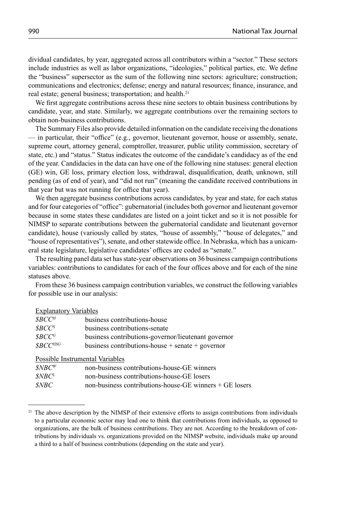dividual candidates, by year, aggregated across all contributors within a "sector." These sectors include industries as well as labor organizations, "ideologies," political parties, etc. We define the "business" supersector as the sum of the following nine sectors: agriculture; construction; communications and electronics; defense; energy and natural resources; finance, insurance, and real estate; general business; transportation; and health.<sup>21</sup>

We first aggregate contributions across these nine sectors to obtain business contributions by candidate, year, and state. Similarly, we aggregate contributions over the remaining sectors to obtain non-business contributions.

The Summary Files also provide detailed information on the candidate receiving the donations — in particular, their "office" (e.g., governor, lieutenant governor, house or assembly, senate, supreme court, attorney general, comptroller, treasurer, public utility commission, secretary of state, etc.) and "status." Status indicates the outcome of the candidate's candidacy as of the end of the year. Candidacies in the data can have one of the following nine statuses: general election (GE) win, GE loss, primary election loss, withdrawal, disqualification, death, unknown, still pending (as of end of year), and "did not run" (meaning the candidate received contributions in that year but was not running for office that year).

We then aggregate business contributions across candidates, by year and state, for each status and for four categories of "office": gubernatorial (includes both governor and lieutenant governor because in some states these candidates are listed on a joint ticket and so it is not possible for NIMSP to separate contributions between the gubernatorial candidate and lieutenant governor candidate), house (variously called by states, "house of assembly," "house of delegates," and "house of representatives"), senate, and other statewide office. In Nebraska, which has a unicameral state legislature, legislative candidates' offices are coded as "senate."

The resulting panel data set has state-year observations on 36 business campaign contributions variables: contributions to candidates for each of the four offices above and for each of the nine statuses above.

From these 36 business campaign contribution variables, we construct the following variables for possible use in our analysis:

#### Explanatory Variables

| $\mathcal{S}BCC^H$    | business contributions-house                         |
|-----------------------|------------------------------------------------------|
| \$BCC <sup>s</sup>    | business contributions-senate                        |
| $\mathcal{S}BCC^G$    | business contributions-governor/lieutenant governor  |
| $$BCC$ <sup>HSG</sup> | business contributions-house $+$ senate $+$ governor |
|                       |                                                      |

## Possible Instrumental Variables

| $SNRC^W$          | non-business contributions-house-GE winners               |
|-------------------|-----------------------------------------------------------|
| SNBC <sup>L</sup> | non-business contributions-house-GE losers                |
| $\mathcal{S}NBC$  | non-business contributions-house-GE winners $+$ GE losers |

 $21$  The above description by the NIMSP of their extensive efforts to assign contributions from individuals to a particular economic sector may lead one to think that contributions from individuals, as opposed to organizations, are the bulk of business contributions. They are not. According to the breakdown of contributions by individuals vs. organizations provided on the NIMSP website, individuals make up around a third to a half of business contributions (depending on the state and year).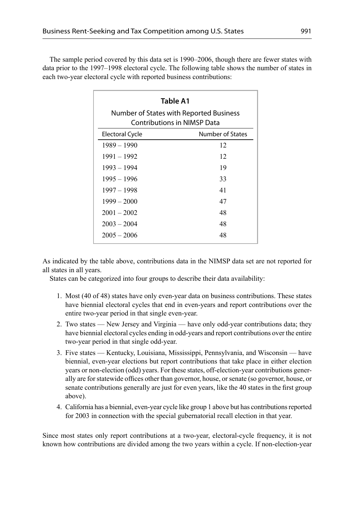The sample period covered by this data set is 1990–2006, though there are fewer states with data prior to the 1997–1998 electoral cycle. The following table shows the number of states in each two-year electoral cycle with reported business contributions:

| Table A1                                                               |                  |  |  |  |
|------------------------------------------------------------------------|------------------|--|--|--|
| Number of States with Reported Business<br>Contributions in NIMSP Data |                  |  |  |  |
| <b>Electoral Cycle</b>                                                 | Number of States |  |  |  |
| 1989 – 1990                                                            | 12               |  |  |  |
| $1991 - 1992$                                                          | 12               |  |  |  |
| 1993 – 1994                                                            | 19               |  |  |  |
| $1995 - 1996$                                                          | 33               |  |  |  |
| 1997 - 1998                                                            | 41               |  |  |  |
| $1999 - 2000$                                                          | 47               |  |  |  |
| $2001 - 2002$                                                          | 48               |  |  |  |
| $2003 - 2004$                                                          | 48               |  |  |  |
| $2005 - 2006$                                                          | 48               |  |  |  |

As indicated by the table above, contributions data in the NIMSP data set are not reported for all states in all years.

States can be categorized into four groups to describe their data availability:

- 1. Most (40 of 48) states have only even-year data on business contributions. These states have biennial electoral cycles that end in even-years and report contributions over the entire two-year period in that single even-year.
- 2. Two states New Jersey and Virginia have only odd-year contributions data; they have biennial electoral cycles ending in odd-years and report contributions over the entire two-year period in that single odd-year.
- 3. Five states Kentucky, Louisiana, Mississippi, Pennsylvania, and Wisconsin have biennial, even-year elections but report contributions that take place in either election years or non-election (odd) years. For these states, off-election-year contributions generally are for statewide offices other than governor, house, or senate (so governor, house, or senate contributions generally are just for even years, like the 40 states in the first group above).
- 4. California has a biennial, even-year cycle like group 1 above but has contributions reported for 2003 in connection with the special gubernatorial recall election in that year.

Since most states only report contributions at a two-year, electoral-cycle frequency, it is not known how contributions are divided among the two years within a cycle. If non-election-year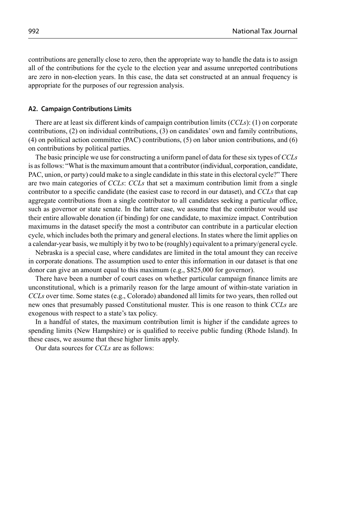contributions are generally close to zero, then the appropriate way to handle the data is to assign all of the contributions for the cycle to the election year and assume unreported contributions are zero in non-election years. In this case, the data set constructed at an annual frequency is appropriate for the purposes of our regression analysis.

#### **A2. Campaign Contributions Limits**

There are at least six different kinds of campaign contribution limits (*CCLs*): (1) on corporate contributions, (2) on individual contributions, (3) on candidates' own and family contributions, (4) on political action committee (PAC) contributions, (5) on labor union contributions, and (6) on contributions by political parties.

The basic principle we use for constructing a uniform panel of data for these six types of *CCLs* is as follows: "What is the maximum amount that a contributor (individual, corporation, candidate, PAC, union, or party) could make to a single candidate in this state in this electoral cycle?" There are two main categories of *CCLs*: *CCLs* that set a maximum contribution limit from a single contributor to a specific candidate (the easiest case to record in our dataset), and *CCLs* that cap aggregate contributions from a single contributor to all candidates seeking a particular office, such as governor or state senate. In the latter case, we assume that the contributor would use their entire allowable donation (if binding) for one candidate, to maximize impact. Contribution maximums in the dataset specify the most a contributor can contribute in a particular election cycle, which includes both the primary and general elections. In states where the limit applies on a calendar-year basis, we multiply it by two to be (roughly) equivalent to a primary/general cycle.

Nebraska is a special case, where candidates are limited in the total amount they can receive in corporate donations. The assumption used to enter this information in our dataset is that one donor can give an amount equal to this maximum (e.g., \$825,000 for governor).

There have been a number of court cases on whether particular campaign finance limits are unconstitutional, which is a primarily reason for the large amount of within-state variation in *CCLs* over time. Some states (e.g., Colorado) abandoned all limits for two years, then rolled out new ones that presumably passed Constitutional muster. This is one reason to think *CCLs* are exogenous with respect to a state's tax policy.

In a handful of states, the maximum contribution limit is higher if the candidate agrees to spending limits (New Hampshire) or is qualified to receive public funding (Rhode Island). In these cases, we assume that these higher limits apply.

Our data sources for *CCLs* are as follows: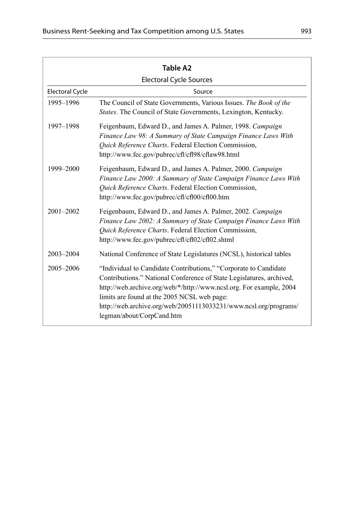|                        | Table A2                                                                                                                                                                                                                                                                                                                                                         |
|------------------------|------------------------------------------------------------------------------------------------------------------------------------------------------------------------------------------------------------------------------------------------------------------------------------------------------------------------------------------------------------------|
|                        | <b>Electoral Cycle Sources</b>                                                                                                                                                                                                                                                                                                                                   |
| <b>Electoral Cycle</b> | Source                                                                                                                                                                                                                                                                                                                                                           |
| 1995-1996              | The Council of State Governments, Various Issues. The Book of the<br>States. The Council of State Governments, Lexington, Kentucky.                                                                                                                                                                                                                              |
| 1997-1998              | Feigenbaum, Edward D., and James A. Palmer, 1998. Campaign<br>Finance Law 98: A Summary of State Campaign Finance Laws With<br>Quick Reference Charts. Federal Election Commission,<br>http://www.fec.gov/pubrec/cfl/cfl98/cflaw98.html                                                                                                                          |
| 1999-2000              | Feigenbaum, Edward D., and James A. Palmer, 2000. Campaign<br>Finance Law 2000: A Summary of State Campaign Finance Laws With<br>Quick Reference Charts. Federal Election Commission,<br>http://www.fec.gov/pubrec/cfl/cfl00/cfl00.htm                                                                                                                           |
| 2001-2002              | Feigenbaum, Edward D., and James A. Palmer, 2002. Campaign<br>Finance Law 2002: A Summary of State Campaign Finance Laws With<br>Quick Reference Charts. Federal Election Commission,<br>http://www.fec.gov/pubrec/cfl/cfl02/cfl02.shtml                                                                                                                         |
| $2003 - 2004$          | National Conference of State Legislatures (NCSL), historical tables                                                                                                                                                                                                                                                                                              |
| 2005-2006              | "Individual to Candidate Contributions," "Corporate to Candidate"<br>Contributions." National Conference of State Legislatures, archived,<br>http://web.archive.org/web/*/http://www.ncsl.org. For example, 2004<br>limits are found at the 2005 NCSL web page:<br>http://web.archive.org/web/20051113033231/www.ncsl.org/programs/<br>legman/about/CorpCand.htm |